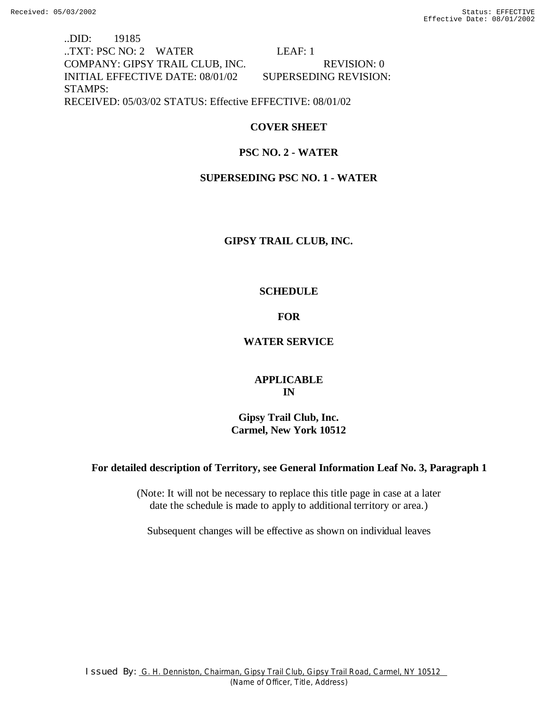..DID: 19185 ..TXT: PSC NO: 2 WATER LEAF: 1 COMPANY: GIPSY TRAIL CLUB, INC. REVISION: 0 INITIAL EFFECTIVE DATE: 08/01/02 SUPERSEDING REVISION: STAMPS: RECEIVED: 05/03/02 STATUS: Effective EFFECTIVE: 08/01/02

# **COVER SHEET**

# **PSC NO. 2 - WATER**

# **SUPERSEDING PSC NO. 1 - WATER**

# **GIPSY TRAIL CLUB, INC.**

# **SCHEDULE**

# **FOR**

# **WATER SERVICE**

# **APPLICABLE IN**

**Gipsy Trail Club, Inc. Carmel, New York 10512**

# **For detailed description of Territory, see General Information Leaf No. 3, Paragraph 1**

(Note: It will not be necessary to replace this title page in case at a later date the schedule is made to apply to additional territory or area.)

Subsequent changes will be effective as shown on individual leaves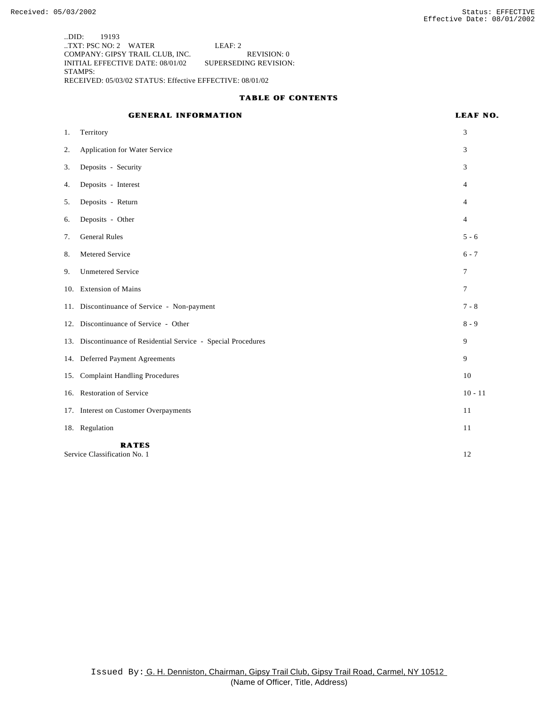..DID: 19193 ..TXT: PSC NO: 2 WATER LEAF: 2 COMPANY: GIPSY TRAIL CLUB, INC. REVISION: 0 INITIAL EFFECTIVE DATE: 08/01/02 STAMPS: RECEIVED: 05/03/02 STATUS: Effective EFFECTIVE: 08/01/02

### **TABLE OF CONTENTS**

## **GENERAL INFORMATION LEAF NO.**

| 1.                                           | Territory                                                      | 3              |
|----------------------------------------------|----------------------------------------------------------------|----------------|
| 2.                                           | Application for Water Service                                  | 3              |
| 3.                                           | Deposits - Security                                            | 3              |
| 4.                                           | Deposits - Interest                                            | 4              |
| 5.                                           | Deposits - Return                                              | 4              |
| 6.                                           | Deposits - Other                                               | 4              |
| 7.                                           | <b>General Rules</b>                                           | $5 - 6$        |
| 8.                                           | Metered Service                                                | $6 - 7$        |
| 9.                                           | <b>Unmetered Service</b>                                       | $\overline{7}$ |
|                                              | 10. Extension of Mains                                         | 7              |
|                                              | 11. Discontinuance of Service - Non-payment                    | $7 - 8$        |
|                                              | 12. Discontinuance of Service - Other                          | $8 - 9$        |
|                                              | 13. Discontinuance of Residential Service - Special Procedures | 9              |
|                                              | 14. Deferred Payment Agreements                                | 9              |
| 15.                                          | <b>Complaint Handling Procedures</b>                           | 10             |
|                                              | 16. Restoration of Service                                     | $10 - 11$      |
|                                              | 17. Interest on Customer Overpayments                          | 11             |
|                                              | 18. Regulation                                                 | 11             |
| <b>RATES</b><br>Service Classification No. 1 |                                                                | 12             |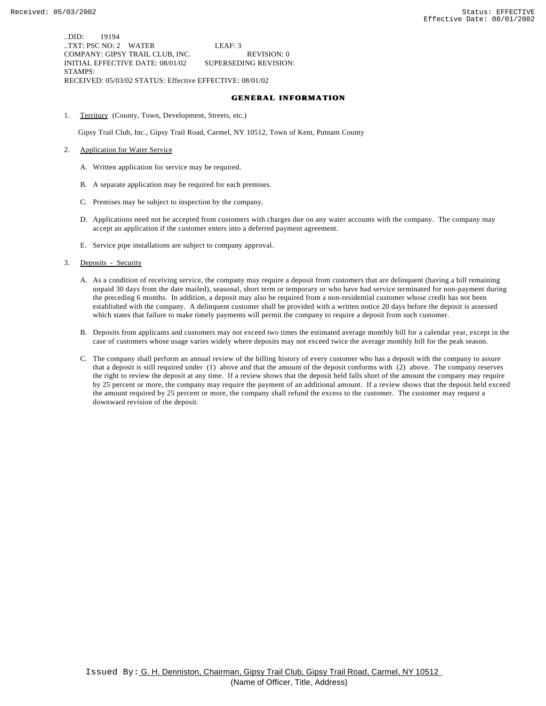..DID: 19194 ..TXT: PSC NO: 2 WATER LEAF: 3 COMPANY: GIPSY TRAIL CLUB, INC. REVISION: 0 INITIAL EFFECTIVE DATE: 08/01/02 SUPERSEDING REVISION: STAMPS: RECEIVED: 05/03/02 STATUS: Effective EFFECTIVE: 08/01/02

### **GENERAL INFORMATION**

1. Territory (County, Town, Development, Streets, etc.)

Gipsy Trail Club, Inc., Gipsy Trail Road, Carmel, NY 10512, Town of Kent, Putnam County

- 2. Application for Water Service
	- A. Written application for service may be required.
	- B. A separate application may be required for each premises.
	- C. Premises may be subject to inspection by the company.
	- D. Applications need not be accepted from customers with charges due on any water accounts with the company. The company may accept an application if the customer enters into a deferred payment agreement.
	- E. Service pipe installations are subject to company approval.
- 3. Deposits Security
	- A. As a condition of receiving service, the company may require a deposit from customers that are delinquent (having a bill remaining unpaid 30 days from the date mailed), seasonal, short term or temporary or who have had service terminated for non-payment during the preceding 6 months. In addition, a deposit may also be required from a non-residential customer whose credit has not been established with the company. A delinquent customer shall be provided with a written notice 20 days before the deposit is assessed which states that failure to make timely payments will permit the company to require a deposit from such customer.
	- B. Deposits from applicants and customers may not exceed two times the estimated average monthly bill for a calendar year, except in the case of customers whose usage varies widely where deposits may not exceed twice the average monthly bill for the peak season.
	- C. The company shall perform an annual review of the billing history of every customer who has a deposit with the company to assure that a deposit is still required under (1) above and that the amount of the deposit conforms with (2) above. The company reserves the right to review the deposit at any time. If a review shows that the deposit held falls short of the amount the company may require by 25 percent or more, the company may require the payment of an additional amount. If a review shows that the deposit held exceed the amount required by 25 percent or more, the company shall refund the excess to the customer. The customer may request a downward revision of the deposit.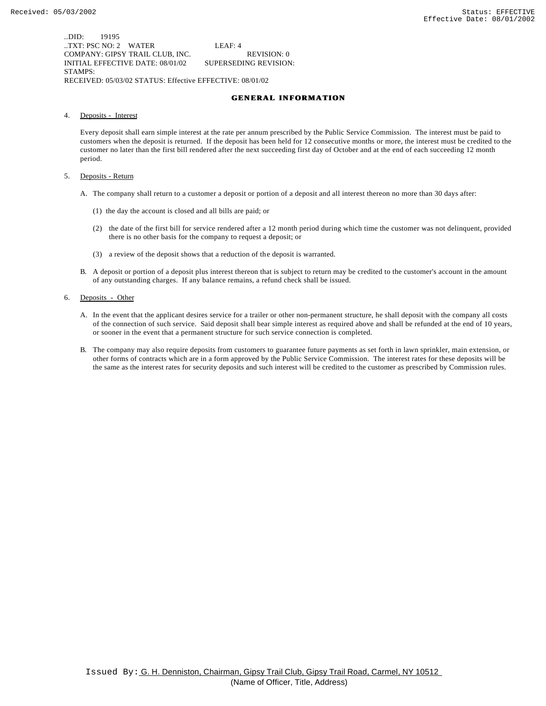..DID: 19195 ..TXT: PSC NO: 2 WATER LEAF: 4 COMPANY: GIPSY TRAIL CLUB, INC. REVISION: 0 INITIAL EFFECTIVE DATE: 08/01/02 SUPERSEDING REVISION: STAMPS: RECEIVED: 05/03/02 STATUS: Effective EFFECTIVE: 08/01/02

### **GENERAL INFORMATION**

4. Deposits - Interest

Every deposit shall earn simple interest at the rate per annum prescribed by the Public Service Commission. The interest must be paid to customers when the deposit is returned. If the deposit has been held for 12 consecutive months or more, the interest must be credited to the customer no later than the first bill rendered after the next succeeding first day of October and at the end of each succeeding 12 month period.

- 5. Deposits Return
	- A. The company shall return to a customer a deposit or portion of a deposit and all interest thereon no more than 30 days after:
		- (1) the day the account is closed and all bills are paid; or
		- (2) the date of the first bill for service rendered after a 12 month period during which time the customer was not delinquent, provided there is no other basis for the company to request a deposit; or
		- (3) a review of the deposit shows that a reduction of the deposit is warranted.
	- B. A deposit or portion of a deposit plus interest thereon that is subject to return may be credited to the customer's account in the amount of any outstanding charges. If any balance remains, a refund check shall be issued.
- 6. Deposits Other
	- A. In the event that the applicant desires service for a trailer or other non-permanent structure, he shall deposit with the company all costs of the connection of such service. Said deposit shall bear simple interest as required above and shall be refunded at the end of 10 years, or sooner in the event that a permanent structure for such service connection is completed.
	- B. The company may also require deposits from customers to guarantee future payments as set forth in lawn sprinkler, main extension, or other forms of contracts which are in a form approved by the Public Service Commission. The interest rates for these deposits will be the same as the interest rates for security deposits and such interest will be credited to the customer as prescribed by Commission rules.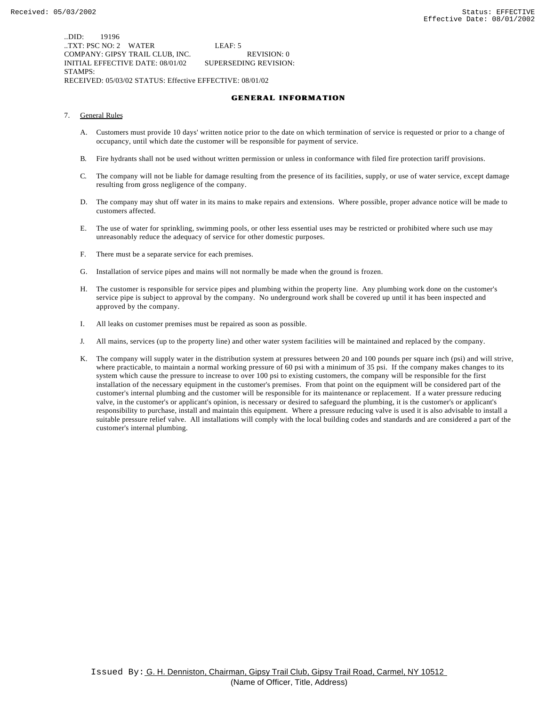..DID: 19196 ..TXT: PSC NO: 2 WATER LEAF: 5 COMPANY: GIPSY TRAIL CLUB, INC. REVISION: 0 INITIAL EFFECTIVE DATE: 08/01/02 SUPERSEDING REVISION: STAMPS: RECEIVED: 05/03/02 STATUS: Effective EFFECTIVE: 08/01/02

### **GENERAL INFORMATION**

- 7. General Rules
	- A. Customers must provide 10 days' written notice prior to the date on which termination of service is requested or prior to a change of occupancy, until which date the customer will be responsible for payment of service.
	- B. Fire hydrants shall not be used without written permission or unless in conformance with filed fire protection tariff provisions.
	- C. The company will not be liable for damage resulting from the presence of its facilities, supply, or use of water service, except damage resulting from gross negligence of the company.
	- D. The company may shut off water in its mains to make repairs and extensions. Where possible, proper advance notice will be made to customers affected.
	- E. The use of water for sprinkling, swimming pools, or other less essential uses may be restricted or prohibited where such use may unreasonably reduce the adequacy of service for other domestic purposes.
	- F. There must be a separate service for each premises.
	- G. Installation of service pipes and mains will not normally be made when the ground is frozen.
	- H. The customer is responsible for service pipes and plumbing within the property line. Any plumbing work done on the customer's service pipe is subject to approval by the company. No underground work shall be covered up until it has been inspected and approved by the company.
	- I. All leaks on customer premises must be repaired as soon as possible.
	- J. All mains, services (up to the property line) and other water system facilities will be maintained and replaced by the company.
	- K. The company will supply water in the distribution system at pressures between 20 and 100 pounds per square inch (psi) and will strive, where practicable, to maintain a normal working pressure of 60 psi with a minimum of 35 psi. If the company makes changes to its system which cause the pressure to increase to over 100 psi to existing customers, the company will be responsible for the first installation of the necessary equipment in the customer's premises. From that point on the equipment will be considered part of the customer's internal plumbing and the customer will be responsible for its maintenance or replacement. If a water pressure reducing valve, in the customer's or applicant's opinion, is necessary or desired to safeguard the plumbing, it is the customer's or applicant's responsibility to purchase, install and maintain this equipment. Where a pressure reducing valve is used it is also advisable to install a suitable pressure relief valve. All installations will comply with the local building codes and standards and are considered a part of the customer's internal plumbing.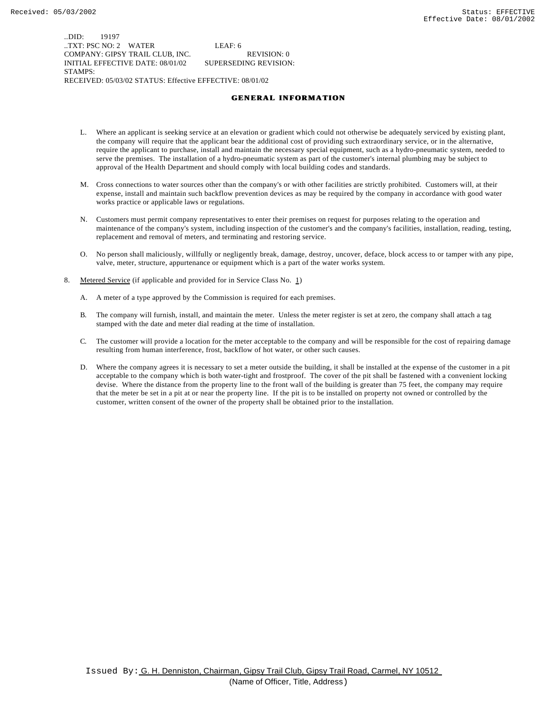..DID: 19197 ..TXT: PSC NO: 2 WATER LEAF: 6 COMPANY: GIPSY TRAIL CLUB, INC. REVISION: 0 INITIAL EFFECTIVE DATE: 08/01/02 SUPERSEDING REVISION: STAMPS: RECEIVED: 05/03/02 STATUS: Effective EFFECTIVE: 08/01/02

### **GENERAL INFORMATION**

- L. Where an applicant is seeking service at an elevation or gradient which could not otherwise be adequately serviced by existing plant, the company will require that the applicant bear the additional cost of providing such extraordinary service, or in the alternative, require the applicant to purchase, install and maintain the necessary special equipment, such as a hydro-pneumatic system, needed to serve the premises. The installation of a hydro-pneumatic system as part of the customer's internal plumbing may be subject to approval of the Health Department and should comply with local building codes and standards.
- M. Cross connections to water sources other than the company's or with other facilities are strictly prohibited. Customers will, at their expense, install and maintain such backflow prevention devices as may be required by the company in accordance with good water works practice or applicable laws or regulations.
- N. Customers must permit company representatives to enter their premises on request for purposes relating to the operation and maintenance of the company's system, including inspection of the customer's and the company's facilities, installation, reading, testing, replacement and removal of meters, and terminating and restoring service.
- O. No person shall maliciously, willfully or negligently break, damage, destroy, uncover, deface, block access to or tamper with any pipe, valve, meter, structure, appurtenance or equipment which is a part of the water works system.
- 8. Metered Service (if applicable and provided for in Service Class No. 1)
	- A. A meter of a type approved by the Commission is required for each premises.
	- B. The company will furnish, install, and maintain the meter. Unless the meter register is set at zero, the company shall attach a tag stamped with the date and meter dial reading at the time of installation.
	- C. The customer will provide a location for the meter acceptable to the company and will be responsible for the cost of repairing damage resulting from human interference, frost, backflow of hot water, or other such causes.
	- D. Where the company agrees it is necessary to set a meter outside the building, it shall be installed at the expense of the customer in a pit acceptable to the company which is both water-tight and frostproof. The cover of the pit shall be fastened with a convenient locking devise. Where the distance from the property line to the front wall of the building is greater than 75 feet, the company may require that the meter be set in a pit at or near the property line. If the pit is to be installed on property not owned or controlled by the customer, written consent of the owner of the property shall be obtained prior to the installation.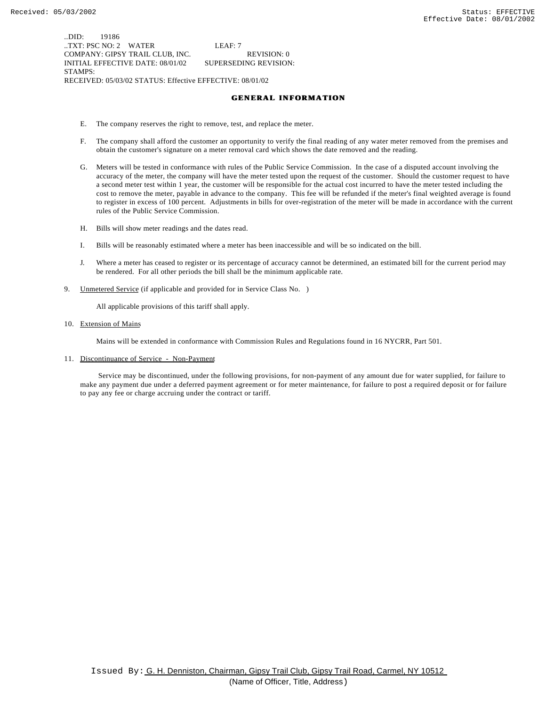..DID: 19186 ..TXT: PSC NO: 2 WATER LEAF: 7 COMPANY: GIPSY TRAIL CLUB, INC. REVISION: 0 INITIAL EFFECTIVE DATE: 08/01/02 SUPERSEDING REVISION: STAMPS: RECEIVED: 05/03/02 STATUS: Effective EFFECTIVE: 08/01/02

### **GENERAL INFORMATION**

- E. The company reserves the right to remove, test, and replace the meter.
- F. The company shall afford the customer an opportunity to verify the final reading of any water meter removed from the premises and obtain the customer's signature on a meter removal card which shows the date removed and the reading.
- G. Meters will be tested in conformance with rules of the Public Service Commission. In the case of a disputed account involving the accuracy of the meter, the company will have the meter tested upon the request of the customer. Should the customer request to have a second meter test within 1 year, the customer will be responsible for the actual cost incurred to have the meter tested including the cost to remove the meter, payable in advance to the company. This fee will be refunded if the meter's final weighted average is found to register in excess of 100 percent. Adjustments in bills for over-registration of the meter will be made in accordance with the current rules of the Public Service Commission.
- H. Bills will show meter readings and the dates read.
- I. Bills will be reasonably estimated where a meter has been inaccessible and will be so indicated on the bill.
- J. Where a meter has ceased to register or its percentage of accuracy cannot be determined, an estimated bill for the current period may be rendered. For all other periods the bill shall be the minimum applicable rate.
- 9. Unmetered Service (if applicable and provided for in Service Class No. )

All applicable provisions of this tariff shall apply.

10. Extension of Mains

Mains will be extended in conformance with Commission Rules and Regulations found in 16 NYCRR, Part 501.

11. Discontinuance of Service - Non-Payment

 Service may be discontinued, under the following provisions, for non-payment of any amount due for water supplied, for failure to make any payment due under a deferred payment agreement or for meter maintenance, for failure to post a required deposit or for failure to pay any fee or charge accruing under the contract or tariff.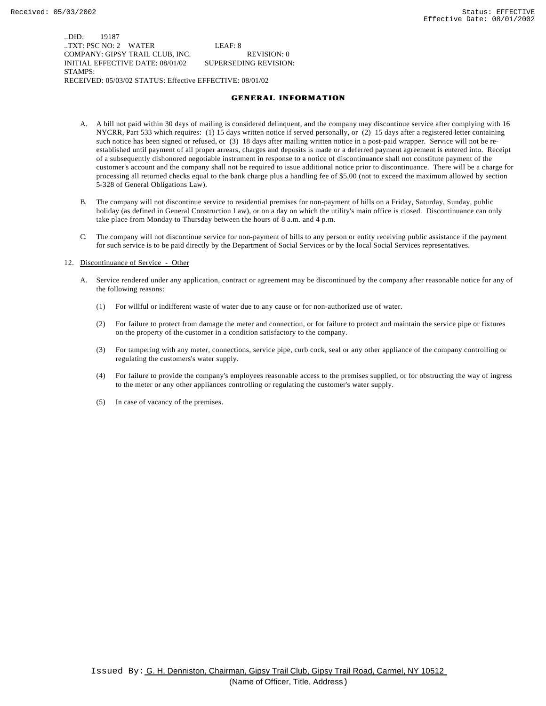..DID: 19187 ..TXT: PSC NO: 2 WATER LEAF: 8 COMPANY: GIPSY TRAIL CLUB, INC. REVISION: 0 INITIAL EFFECTIVE DATE: 08/01/02 SUPERSEDING REVISION: STAMPS: RECEIVED: 05/03/02 STATUS: Effective EFFECTIVE: 08/01/02

### **GENERAL INFORMATION**

- A. A bill not paid within 30 days of mailing is considered delinquent, and the company may discontinue service after complying with 16 NYCRR, Part 533 which requires: (1) 15 days written notice if served personally, or (2) 15 days after a registered letter containing such notice has been signed or refused, or (3) 18 days after mailing written notice in a post-paid wrapper. Service will not be reestablished until payment of all proper arrears, charges and deposits is made or a deferred payment agreement is entered into. Receipt of a subsequently dishonored negotiable instrument in response to a notice of discontinuance shall not constitute payment of the customer's account and the company shall not be required to issue additional notice prior to discontinuance. There will be a charge for processing all returned checks equal to the bank charge plus a handling fee of \$5.00 (not to exceed the maximum allowed by section 5-328 of General Obligations Law).
- B. The company will not discontinue service to residential premises for non-payment of bills on a Friday, Saturday, Sunday, public holiday (as defined in General Construction Law), or on a day on which the utility's main office is closed. Discontinuance can only take place from Monday to Thursday between the hours of 8 a.m. and 4 p.m.
- C. The company will not discontinue service for non-payment of bills to any person or entity receiving public assistance if the payment for such service is to be paid directly by the Department of Social Services or by the local Social Services representatives.

#### 12. Discontinuance of Service - Other

- A. Service rendered under any application, contract or agreement may be discontinued by the company after reasonable notice for any of the following reasons:
	- (1) For willful or indifferent waste of water due to any cause or for non-authorized use of water.
	- (2) For failure to protect from damage the meter and connection, or for failure to protect and maintain the service pipe or fixtures on the property of the customer in a condition satisfactory to the company.
	- (3) For tampering with any meter, connections, service pipe, curb cock, seal or any other appliance of the company controlling or regulating the customers's water supply.
	- (4) For failure to provide the company's employees reasonable access to the premises supplied, or for obstructing the way of ingress to the meter or any other appliances controlling or regulating the customer's water supply.
	- (5) In case of vacancy of the premises.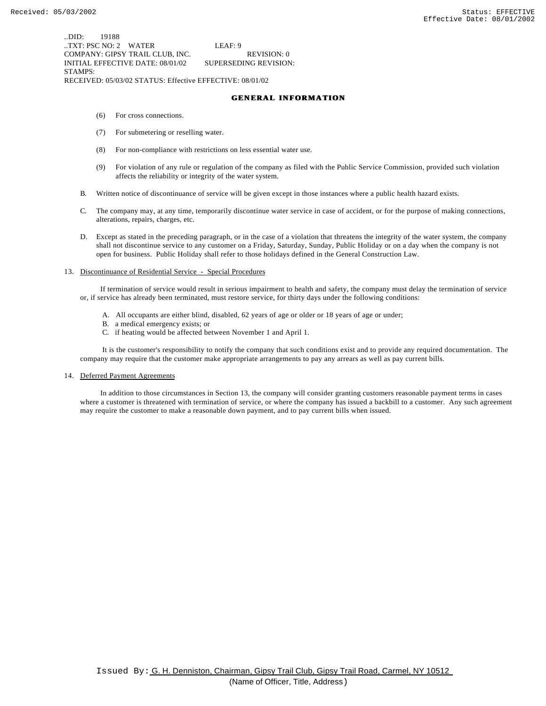..DID: 19188 ..TXT: PSC NO: 2 WATER LEAF: 9 COMPANY: GIPSY TRAIL CLUB, INC. REVISION: 0 INITIAL EFFECTIVE DATE: 08/01/02 SUPERSEDING REVISION: STAMPS:

RECEIVED: 05/03/02 STATUS: Effective EFFECTIVE: 08/01/02

## **GENERAL INFORMATION**

- (6) For cross connections.
- (7) For submetering or reselling water.
- (8) For non-compliance with restrictions on less essential water use.
- (9) For violation of any rule or regulation of the company as filed with the Public Service Commission, provided such violation affects the reliability or integrity of the water system.
- B. Written notice of discontinuance of service will be given except in those instances where a public health hazard exists.
- C. The company may, at any time, temporarily discontinue water service in case of accident, or for the purpose of making connections, alterations, repairs, charges, etc.
- D. Except as stated in the preceding paragraph, or in the case of a violation that threatens the integrity of the water system, the company shall not discontinue service to any customer on a Friday, Saturday, Sunday, Public Holiday or on a day when the company is not open for business. Public Holiday shall refer to those holidays defined in the General Construction Law.

### 13. Discontinuance of Residential Service - Special Procedures

 If termination of service would result in serious impairment to health and safety, the company must delay the termination of service or, if service has already been terminated, must restore service, for thirty days under the following conditions:

- A. All occupants are either blind, disabled, 62 years of age or older or 18 years of age or under;
- B. a medical emergency exists; or
- C. if heating would be affected between November 1 and April 1.

 It is the customer's responsibility to notify the company that such conditions exist and to provide any required documentation. The company may require that the customer make appropriate arrangements to pay any arrears as well as pay current bills.

### 14. Deferred Payment Agreements

 In addition to those circumstances in Section 13, the company will consider granting customers reasonable payment terms in cases where a customer is threatened with termination of service, or where the company has issued a backbill to a customer. Any such agreement may require the customer to make a reasonable down payment, and to pay current bills when issued.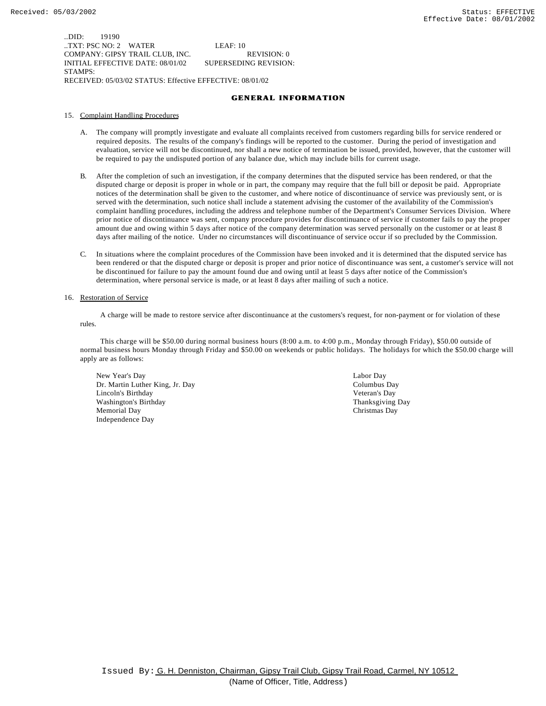..DID: 19190 ..TXT: PSC NO: 2 WATER LEAF: 10 COMPANY: GIPSY TRAIL CLUB, INC. REVISION: 0 INITIAL EFFECTIVE DATE: 08/01/02 SUPERSEDING REVISION: STAMPS: RECEIVED: 05/03/02 STATUS: Effective EFFECTIVE: 08/01/02

### **GENERAL INFORMATION**

#### 15. Complaint Handling Procedures

- A. The company will promptly investigate and evaluate all complaints received from customers regarding bills for service rendered or required deposits. The results of the company's findings will be reported to the customer. During the period of investigation and evaluation, service will not be discontinued, nor shall a new notice of termination be issued, provided, however, that the customer will be required to pay the undisputed portion of any balance due, which may include bills for current usage.
- B. After the completion of such an investigation, if the company determines that the disputed service has been rendered, or that the disputed charge or deposit is proper in whole or in part, the company may require that the full bill or deposit be paid. Appropriate notices of the determination shall be given to the customer, and where notice of discontinuance of service was previously sent, or is served with the determination, such notice shall include a statement advising the customer of the availability of the Commission's complaint handling procedures, including the address and telephone number of the Department's Consumer Services Division. Where prior notice of discontinuance was sent, company procedure provides for discontinuance of service if customer fails to pay the proper amount due and owing within 5 days after notice of the company determination was served personally on the customer or at least 8 days after mailing of the notice. Under no circumstances will discontinuance of service occur if so precluded by the Commission.
- C. In situations where the complaint procedures of the Commission have been invoked and it is determined that the disputed service has been rendered or that the disputed charge or deposit is proper and prior notice of discontinuance was sent, a customer's service will not be discontinued for failure to pay the amount found due and owing until at least 5 days after notice of the Commission's determination, where personal service is made, or at least 8 days after mailing of such a notice.

#### 16. Restoration of Service

 A charge will be made to restore service after discontinuance at the customers's request, for non-payment or for violation of these rules.

 This charge will be \$50.00 during normal business hours (8:00 a.m. to 4:00 p.m., Monday through Friday), \$50.00 outside of normal business hours Monday through Friday and \$50.00 on weekends or public holidays. The holidays for which the \$50.00 charge will apply are as follows:

New Year's Day Labor Day Dr. Martin Luther King, Jr. Day Columbus Day Lincoln's Birthday Veteran's Day Washington's Birthday Thanksgiving Day Memorial Day Christmas Day Independence Day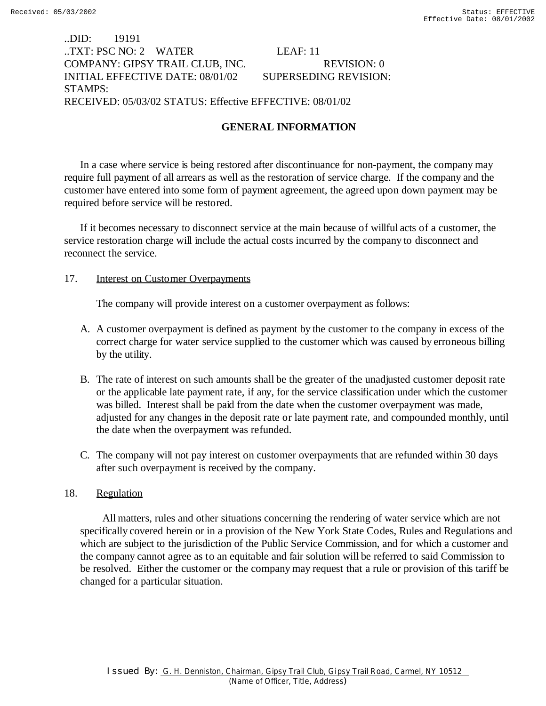# ..DID: 19191 ..TXT: PSC NO: 2 WATER LEAF: 11 COMPANY: GIPSY TRAIL CLUB, INC. REVISION: 0 INITIAL EFFECTIVE DATE: 08/01/02 SUPERSEDING REVISION: STAMPS: RECEIVED: 05/03/02 STATUS: Effective EFFECTIVE: 08/01/02

# **GENERAL INFORMATION**

In a case where service is being restored after discontinuance for non-payment, the company may require full payment of all arrears as well as the restoration of service charge. If the company and the customer have entered into some form of payment agreement, the agreed upon down payment may be required before service will be restored.

If it becomes necessary to disconnect service at the main because of willful acts of a customer, the service restoration charge will include the actual costs incurred by the company to disconnect and reconnect the service.

## 17. Interest on Customer Overpayments

The company will provide interest on a customer overpayment as follows:

- A. A customer overpayment is defined as payment by the customer to the company in excess of the correct charge for water service supplied to the customer which was caused by erroneous billing by the utility.
- B. The rate of interest on such amounts shall be the greater of the unadjusted customer deposit rate or the applicable late payment rate, if any, for the service classification under which the customer was billed. Interest shall be paid from the date when the customer overpayment was made, adjusted for any changes in the deposit rate or late payment rate, and compounded monthly, until the date when the overpayment was refunded.
- C. The company will not pay interest on customer overpayments that are refunded within 30 days after such overpayment is received by the company.

# 18. Regulation

 All matters, rules and other situations concerning the rendering of water service which are not specifically covered herein or in a provision of the New York State Codes, Rules and Regulations and which are subject to the jurisdiction of the Public Service Commission, and for which a customer and the company cannot agree as to an equitable and fair solution will be referred to said Commission to be resolved. Either the customer or the company may request that a rule or provision of this tariff be changed for a particular situation.